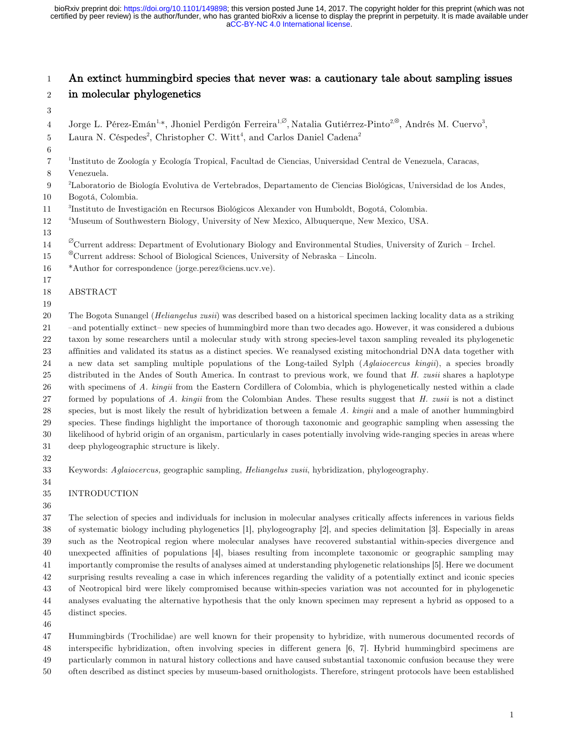[aCC-BY-NC 4.0 International license.](http://creativecommons.org/licenses/by-nc/4.0/) certified by peer review) is the author/funder, who has granted bioRxiv a license to display the preprint in perpetuity. It is made available under bioRxiv preprint doi: [https://doi.org/10.1101/149898;](https://doi.org/10.1101/149898) this version posted June 14, 2017. The copyright holder for this preprint (which was not

# An extinct hummingbird species that never was: a cautionary tale about sampling issues

- in molecular phylogenetics
- 
- $\rm 4$  Jorge L. Pérez-Emán<sup>1,\*</sup>, Jhoniel Perdigón Ferreira<sup>1, $\varnothing$ </sup>, Natalia Gutiérrez-Pinto<sup>2, $\otimes$ </sup>, Andrés M. Cuervo<sup>3</sup>,
- 5 Laura N. Céspedes<sup>2</sup>, Christopher C. Witt<sup>4</sup>, and Carlos Daniel Cadena<sup>2</sup>
- 
- <sup>1</sup> Instituto de Zoología y Ecología Tropical, Facultad de Ciencias, Universidad Central de Venezuela, Caracas,
- Venezuela.

<sup>2</sup> Laboratorio de Biología Evolutiva de Vertebrados, Departamento de Ciencias Biológicas, Universidad de los Andes,

- Bogotá, Colombia.
- <sup>3</sup> Instituto de Investigación en Recursos Biológicos Alexander von Humboldt, Bogotá, Colombia.
- $12\,$ <sup>4</sup>Museum of Southwestern Biology, University of New Mexico, Albuquerque, New Mexico, USA.

# 

- $\textdegree$  Current address: Department of Evolutionary Biology and Environmental Studies, University of Zurich Irchel.
- <sup>8</sup>Current address: School of Biological Sciences, University of Nebraska Lincoln.
- \*Author for correspondence (jorge.perez@ciens.ucv.ve).
- ABSTRACT
- 

The Bogota Sunangel (*Heliangelus zusii*) was described based on a historical specimen lacking locality data as a striking

21 – and potentially extinct– new species of hummingbird more than two decades ago. However, it was considered a dubious taxon by some researchers until a molecular study with strong species-level taxon sampling revealed its phylogenetic

 affinities and validated its status as a distinct species. We reanalysed existing mitochondrial DNA data together with a new data set sampling multiple populations of the Long-tailed Sylph (*Aglaiocercus kingii*), a species broadly

 distributed in the Andes of South America. In contrast to previous work, we found that *H. zusii* shares a haplotype with specimens of *A. kingii* from the Eastern Cordillera of Colombia, which is phylogenetically nested within a clade

- formed by populations of *A. kingii* from the Colombian Andes. These results suggest that *H. zusii* is not a distinct species, but is most likely the result of hybridization between a female *A. kingii* and a male of another hummingbird
- species. These findings highlight the importance of thorough taxonomic and geographic sampling when assessing the
- likelihood of hybrid origin of an organism, particularly in cases potentially involving wide-ranging species in areas where
- deep phylogeographic structure is likely.
- 

 Keywords: *Aglaiocercus,* geographic sampling, *Heliangelus zusii*, hybridization, phylogeography. 

- INTRODUCTION
- 

 The selection of species and individuals for inclusion in molecular analyses critically affects inferences in various fields of systematic biology including phylogenetics [1], phylogeography [2], and species delimitation [3]. Especially in areas such as the Neotropical region where molecular analyses have recovered substantial within-species divergence and unexpected affinities of populations [4], biases resulting from incomplete taxonomic or geographic sampling may importantly compromise the results of analyses aimed at understanding phylogenetic relationships [5]. Here we document surprising results revealing a case in which inferences regarding the validity of a potentially extinct and iconic species of Neotropical bird were likely compromised because within-species variation was not accounted for in phylogenetic analyses evaluating the alternative hypothesis that the only known specimen may represent a hybrid as opposed to a distinct species.

 Hummingbirds (Trochilidae) are well known for their propensity to hybridize, with numerous documented records of interspecific hybridization, often involving species in different genera [6, 7]. Hybrid hummingbird specimens are particularly common in natural history collections and have caused substantial taxonomic confusion because they were

often described as distinct species by museum-based ornithologists. Therefore, stringent protocols have been established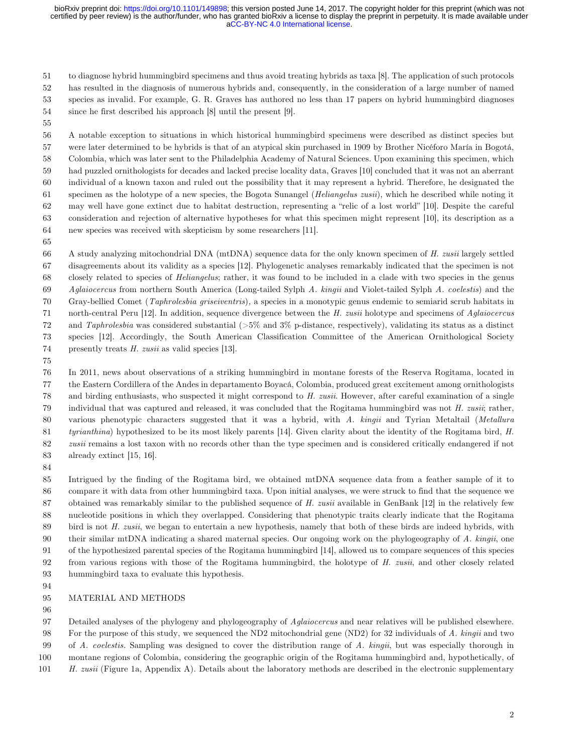#### [aCC-BY-NC 4.0 International license.](http://creativecommons.org/licenses/by-nc/4.0/) certified by peer review) is the author/funder, who has granted bioRxiv a license to display the preprint in perpetuity. It is made available under bioRxiv preprint doi: [https://doi.org/10.1101/149898;](https://doi.org/10.1101/149898) this version posted June 14, 2017. The copyright holder for this preprint (which was not

 to diagnose hybrid hummingbird specimens and thus avoid treating hybrids as taxa [8]. The application of such protocols has resulted in the diagnosis of numerous hybrids and, consequently, in the consideration of a large number of named species as invalid. For example, G. R. Graves has authored no less than 17 papers on hybrid hummingbird diagnoses since he first described his approach [8] until the present [9].

 A notable exception to situations in which historical hummingbird specimens were described as distinct species but were later determined to be hybrids is that of an atypical skin purchased in 1909 by Brother Nicéforo María in Bogotá, Colombia, which was later sent to the Philadelphia Academy of Natural Sciences. Upon examining this specimen, which had puzzled ornithologists for decades and lacked precise locality data, Graves [10] concluded that it was not an aberrant individual of a known taxon and ruled out the possibility that it may represent a hybrid. Therefore, he designated the specimen as the holotype of a new species, the Bogota Sunangel (*Heliangelus zusii*), which he described while noting it may well have gone extinct due to habitat destruction, representing a "relic of a lost world" [10]. Despite the careful consideration and rejection of alternative hypotheses for what this specimen might represent [10], its description as a new species was received with skepticism by some researchers [11].

 A study analyzing mitochondrial DNA (mtDNA) sequence data for the only known specimen of *H. zusii* largely settled disagreements about its validity as a species [12]. Phylogenetic analyses remarkably indicated that the specimen is not closely related to species of *Heliangelus*; rather, it was found to be included in a clade with two species in the genus *Aglaiocercus* from northern South America (Long-tailed Sylph *A. kingii* and Violet-tailed Sylph *A. coelestis*) and the

Gray-bellied Comet (*Taphrolesbia griseiventris*)*,* a species in a monotypic genus endemic to semiarid scrub habitats in

north-central Peru [12]. In addition, sequence divergence between the *H. zusii* holotype and specimens of *Aglaiocercus*

and *Taphrolesbia* was considered substantial (>5% and 3% p-distance, respectively), validating its status as a distinct

species [12]. Accordingly, the South American Classification Committee of the American Ornithological Society

presently treats *H. zusii* as valid species [13].

 In 2011, news about observations of a striking hummingbird in montane forests of the Reserva Rogitama, located in the Eastern Cordillera of the Andes in departamento Boyacá, Colombia, produced great excitement among ornithologists and birding enthusiasts, who suspected it might correspond to *H. zusii*. However, after careful examination of a single individual that was captured and released, it was concluded that the Rogitama hummingbird was not *H. zusii*; rather, various phenotypic characters suggested that it was a hybrid, with *A. kingii* and Tyrian Metaltail (*Metallura tyrianthina*) hypothesized to be its most likely parents [14]. Given clarity about the identity of the Rogitama bird, *H. zusii* remains a lost taxon with no records other than the type specimen and is considered critically endangered if not already extinct [15, 16].

 Intrigued by the finding of the Rogitama bird, we obtained mtDNA sequence data from a feather sample of it to compare it with data from other hummingbird taxa. Upon initial analyses, we were struck to find that the sequence we obtained was remarkably similar to the published sequence of *H. zusii* available in GenBank [12] in the relatively few nucleotide positions in which they overlapped. Considering that phenotypic traits clearly indicate that the Rogitama bird is not *H. zusii*, we began to entertain a new hypothesis, namely that both of these birds are indeed hybrids, with their similar mtDNA indicating a shared maternal species. Our ongoing work on the phylogeography of *A. kingii*, one of the hypothesized parental species of the Rogitama hummingbird [14], allowed us to compare sequences of this species from various regions with those of the Rogitama hummingbird, the holotype of *H. zusii*, and other closely related hummingbird taxa to evaluate this hypothesis.

# MATERIAL AND METHODS

 Detailed analyses of the phylogeny and phylogeography of *Aglaiocercus* and near relatives will be published elsewhere. For the purpose of this study, we sequenced the ND2 mitochondrial gene (ND2) for 32 individuals of *A. kingii* and two

of *A. coelestis.* Sampling was designed to cover the distribution range of *A. kingii*, but was especially thorough in

- montane regions of Colombia, considering the geographic origin of the Rogitama hummingbird and, hypothetically, of
- *H. zusii* (Figure 1a, Appendix A). Details about the laboratory methods are described in the electronic supplementary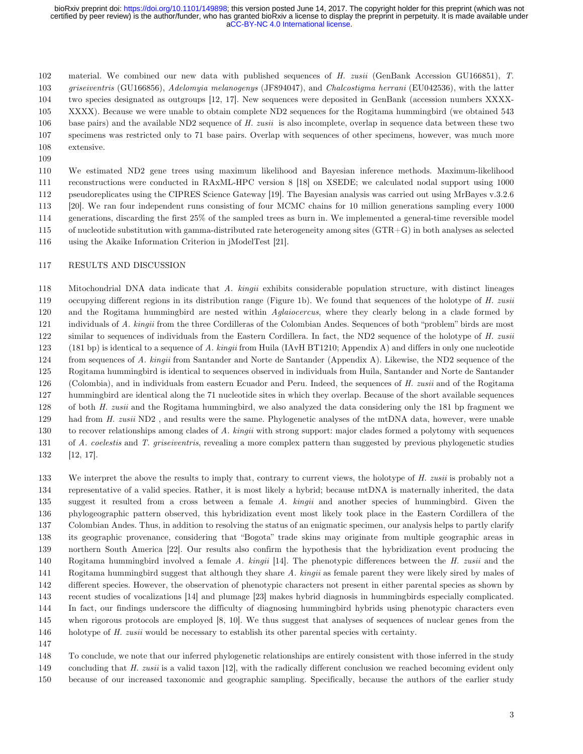[aCC-BY-NC 4.0 International license.](http://creativecommons.org/licenses/by-nc/4.0/) certified by peer review) is the author/funder, who has granted bioRxiv a license to display the preprint in perpetuity. It is made available under bioRxiv preprint doi: [https://doi.org/10.1101/149898;](https://doi.org/10.1101/149898) this version posted June 14, 2017. The copyright holder for this preprint (which was not

material. We combined our new data with published sequences of *H. zusii* (GenBank Accession GU166851), *T.*

*griseiventris* (GU166856), *Adelomyia melanogenys* (JF894047), and *Chalcostigma herrani* (EU042536), with the latter

 two species designated as outgroups [12, 17]. New sequences were deposited in GenBank (accession numbers XXXX-XXXX). Because we were unable to obtain complete ND2 sequences for the Rogitama hummingbird (we obtained 543

- base pairs) and the available ND2 sequence of *H. zusii* is also incomplete, overlap in sequence data between these two
- specimens was restricted only to 71 base pairs. Overlap with sequences of other specimens, however, was much more
- extensive.
- 

 We estimated ND2 gene trees using maximum likelihood and Bayesian inference methods. Maximum-likelihood reconstructions were conducted in RAxML-HPC version 8 [18] on XSEDE; we calculated nodal support using 1000 pseudoreplicates using the CIPRES Science Gateway [19]. The Bayesian analysis was carried out using MrBayes v.3.2.6 [20]. We ran four independent runs consisting of four MCMC chains for 10 million generations sampling every 1000 generations, discarding the first 25% of the sampled trees as burn in. We implemented a general-time reversible model of nucleotide substitution with gamma-distributed rate heterogeneity among sites (GTR+G) in both analyses as selected using the Akaike Information Criterion in jModelTest [21].

#### RESULTS AND DISCUSSION

 Mitochondrial DNA data indicate that *A. kingii* exhibits considerable population structure, with distinct lineages occupying different regions in its distribution range (Figure 1b). We found that sequences of the holotype of *H. zusii*  and the Rogitama hummingbird are nested within *Aglaiocercus*, where they clearly belong in a clade formed by individuals of *A. kingii* from the three Cordilleras of the Colombian Andes. Sequences of both "problem" birds are most similar to sequences of individuals from the Eastern Cordillera. In fact, the ND2 sequence of the holotype of *H. zusii* (181 bp) is identical to a sequence of *A. kingii* from Huila (IAvH BT1210; Appendix A) and differs in only one nucleotide from sequences of *A. kingii* from Santander and Norte de Santander (Appendix A). Likewise, the ND2 sequence of the Rogitama hummingbird is identical to sequences observed in individuals from Huila, Santander and Norte de Santander (Colombia), and in individuals from eastern Ecuador and Peru. Indeed, the sequences of *H. zusii* and of the Rogitama hummingbird are identical along the 71 nucleotide sites in which they overlap. Because of the short available sequences of both *H. zusii* and the Rogitama hummingbird, we also analyzed the data considering only the 181 bp fragment we had from *H. zusii* ND2 , and results were the same. Phylogenetic analyses of the mtDNA data, however, were unable to recover relationships among clades of *A. kingii* with strong support: major clades formed a polytomy with sequences of *A. coelestis* and *T. griseiventris*, revealing a more complex pattern than suggested by previous phylogenetic studies [12, 17].

 We interpret the above the results to imply that, contrary to current views, the holotype of *H. zusii* is probably not a representative of a valid species. Rather, it is most likely a hybrid; because mtDNA is maternally inherited, the data suggest it resulted from a cross between a female *A. kingii* and another species of hummingbird. Given the phylogeographic pattern observed, this hybridization event most likely took place in the Eastern Cordillera of the Colombian Andes. Thus, in addition to resolving the status of an enigmatic specimen, our analysis helps to partly clarify its geographic provenance, considering that "Bogota" trade skins may originate from multiple geographic areas in northern South America [22]. Our results also confirm the hypothesis that the hybridization event producing the Rogitama hummingbird involved a female *A. kingii* [14]. The phenotypic differences between the *H. zusii* and the Rogitama hummingbird suggest that although they share *A. kingii* as female parent they were likely sired by males of different species. However, the observation of phenotypic characters not present in either parental species as shown by recent studies of vocalizations [14] and plumage [23] makes hybrid diagnosis in hummingbirds especially complicated. In fact, our findings underscore the difficulty of diagnosing hummingbird hybrids using phenotypic characters even when rigorous protocols are employed [8, 10]. We thus suggest that analyses of sequences of nuclear genes from the holotype of *H. zusii* would be necessary to establish its other parental species with certainty.

 To conclude, we note that our inferred phylogenetic relationships are entirely consistent with those inferred in the study concluding that *H. zusii* is a valid taxon [12], with the radically different conclusion we reached becoming evident only

because of our increased taxonomic and geographic sampling. Specifically, because the authors of the earlier study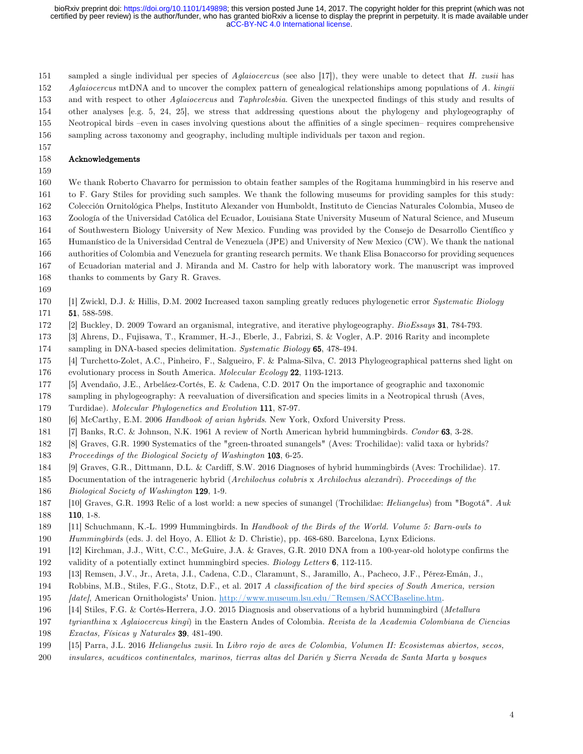[aCC-BY-NC 4.0 International license.](http://creativecommons.org/licenses/by-nc/4.0/) certified by peer review) is the author/funder, who has granted bioRxiv a license to display the preprint in perpetuity. It is made available under bioRxiv preprint doi: [https://doi.org/10.1101/149898;](https://doi.org/10.1101/149898) this version posted June 14, 2017. The copyright holder for this preprint (which was not

sampled a single individual per species of *Aglaiocercus* (see also [17]), they were unable to detect that *H. zusii* has

*Aglaiocercus* mtDNA and to uncover the complex pattern of genealogical relationships among populations of *A. kingii*

and with respect to other *Aglaiocercus* and *Taphrolesbia*. Given the unexpected findings of this study and results of

other analyses [e.g. 5, 24, 25], we stress that addressing questions about the phylogeny and phylogeography of

Neotropical birds –even in cases involving questions about the affinities of a single specimen– requires comprehensive

sampling across taxonomy and geography, including multiple individuals per taxon and region.

## Acknowledgements

 We thank Roberto Chavarro for permission to obtain feather samples of the Rogitama hummingbird in his reserve and to F. Gary Stiles for providing such samples. We thank the following museums for providing samples for this study: Colección Ornitológica Phelps, Instituto Alexander von Humboldt, Instituto de Ciencias Naturales Colombia, Museo de Zoología of the Universidad Católica del Ecuador, Louisiana State University Museum of Natural Science, and Museum of Southwestern Biology University of New Mexico. Funding was provided by the Consejo de Desarrollo Científico y Humanístico de la Universidad Central de Venezuela (JPE) and University of New Mexico (CW). We thank the national authorities of Colombia and Venezuela for granting research permits. We thank Elisa Bonaccorso for providing sequences

- of Ecuadorian material and J. Miranda and M. Castro for help with laboratory work. The manuscript was improved
- 168 thanks to comments by Gary R. Graves.
- 
- [1] Zwickl, D.J. & Hillis, D.M. 2002 Increased taxon sampling greatly reduces phylogenetic error *Systematic Biology* 171 51, 588-598.
- [2] Buckley, D. 2009 Toward an organismal, integrative, and iterative phylogeography. *BioEssays* 31, 784-793.
- [3] Ahrens, D., Fujisawa, T., Krammer, H.-J., Eberle, J., Fabrizi, S. & Vogler, A.P. 2016 Rarity and incomplete
- sampling in DNA-based species delimitation. *Systematic Biology* 65, 478-494.
- [4] Turchetto-Zolet, A.C., Pinheiro, F., Salgueiro, F. & Palma-Silva, C. 2013 Phylogeographical patterns shed light on
- evolutionary process in South America. *Molecular Ecology* 22, 1193-1213.
- [5] Avendaño, J.E., Arbeláez-Cortés, E. & Cadena, C.D. 2017 On the importance of geographic and taxonomic
- sampling in phylogeography: A reevaluation of diversification and species limits in a Neotropical thrush (Aves,
- Turdidae). *Molecular Phylogenetics and Evolution* 111, 87-97.
- [6] McCarthy, E.M. 2006 *Handbook of avian hybrids*. New York, Oxford University Press.
- [7] Banks, R.C. & Johnson, N.K. 1961 A review of North American hybrid hummingbirds. *Condor* 63, 3-28.
- [8] Graves, G.R. 1990 Systematics of the "green-throated sunangels" (Aves: Trochilidae): valid taxa or hybrids?
- *Proceedings of the Biological Society of Washington* 103, 6-25.
- [9] Graves, G.R., Dittmann, D.L. & Cardiff, S.W. 2016 Diagnoses of hybrid hummingbirds (Aves: Trochilidae). 17.
- Documentation of the intrageneric hybrid (*Archilochus colubris* x *Archilochus alexandri*). *Proceedings of the Biological Society of Washington* 129, 1-9.
- [10] Graves, G.R. 1993 Relic of a lost world: a new species of sunangel (Trochilidae: *Heliangelus*) from "Bogotá". *Auk* 110, 1-8.
- [11] Schuchmann, K.-L. 1999 Hummingbirds. In *Handbook of the Birds of the World. Volume 5: Barn-owls to*
- *Hummingbirds* (eds. J. del Hoyo, A. Elliot & D. Christie), pp. 468-680. Barcelona, Lynx Edicions.
- [12] Kirchman, J.J., Witt, C.C., McGuire, J.A. & Graves, G.R. 2010 DNA from a 100-year-old holotype confirms the
- validity of a potentially extinct hummingbird species. *Biology Letters* 6, 112-115.
- [13] Remsen, J.V., Jr., Areta, J.I., Cadena, C.D., Claramunt, S., Jaramillo, A., Pacheco, J.F., Pérez-Emán, J.,
- Robbins, M.B., Stiles, F.G., Stotz, D.F., et al. 2017 *A classification of the bird species of South America, version*
- *[date]*, American Ornithologists' Union. http://www.museum.lsu.edu/~Remsen/SACCBaseline.htm.
- [14] Stiles, F.G. & Cortés-Herrera, J.O. 2015 Diagnosis and observations of a hybrid hummingbird (*Metallura*
- *tyrianthina* x *Aglaiocercus kingi*) in the Eastern Andes of Colombia. *Revista de la Academia Colombiana de Ciencias Exactas, Físicas y Naturales* 39, 481-490.
- [15] Parra, J.L. 2016 *Heliangelus zusii*. In *Libro rojo de aves de Colombia, Volumen II: Ecosistemas abiertos, secos,*
- *insulares, acuáticos continentales, marinos, tierras altas del Darién y Sierra Nevada de Santa Marta y bosques*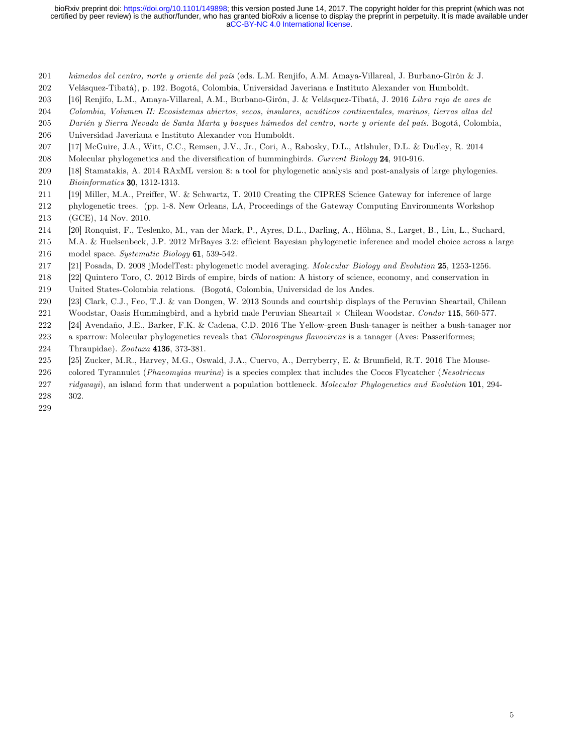[aCC-BY-NC 4.0 International license.](http://creativecommons.org/licenses/by-nc/4.0/) certified by peer review) is the author/funder, who has granted bioRxiv a license to display the preprint in perpetuity. It is made available under bioRxiv preprint doi: [https://doi.org/10.1101/149898;](https://doi.org/10.1101/149898) this version posted June 14, 2017. The copyright holder for this preprint (which was not

- *húmedos del centro, norte y oriente del país* (eds. L.M. Renjifo, A.M. Amaya-Villareal, J. Burbano-Girón & J.
- Velásquez-Tibatá), p. 192. Bogotá, Colombia, Universidad Javeriana e Instituto Alexander von Humboldt.
- [16] Renjifo, L.M., Amaya-Villareal, A.M., Burbano-Girón, J. & Velásquez-Tibatá, J. 2016 *Libro rojo de aves de*
- *Colombia, Volumen II: Ecosistemas abiertos, secos, insulares, acuáticos continentales, marinos, tierras altas del*
- *Darién y Sierra Nevada de Santa Marta y bosques húmedos del centro, norte y oriente del país*. Bogotá, Colombia,
- Universidad Javeriana e Instituto Alexander von Humboldt.
- [17] McGuire, J.A., Witt, C.C., Remsen, J.V., Jr., Cori, A., Rabosky, D.L., Atlshuler, D.L. & Dudley, R. 2014
- Molecular phylogenetics and the diversification of hummingbirds. *Current Biology* 24, 910-916.
- [18] Stamatakis, A. 2014 RAxML version 8: a tool for phylogenetic analysis and post-analysis of large phylogenies.
- *Bioinformatics* 30, 1312-1313.
- [19] Miller, M.A., Preiffer, W. & Schwartz, T. 2010 Creating the CIPRES Science Gateway for inference of large
- phylogenetic trees. (pp. 1-8. New Orleans, LA, Proceedings of the Gateway Computing Environments Workshop (GCE), 14 Nov. 2010.
- [20] Ronquist, F., Teslenko, M., van der Mark, P., Ayres, D.L., Darling, A., Höhna, S., Larget, B., Liu, L., Suchard,
- M.A. & Huelsenbeck, J.P. 2012 MrBayes 3.2: efficient Bayesian phylogenetic inference and model choice across a large model space. *Systematic Biology* 61, 539-542.
- [21] Posada, D. 2008 jModelTest: phylogenetic model averaging. *Molecular Biology and Evolution* 25, 1253-1256.
- [22] Quintero Toro, C. 2012 Birds of empire, birds of nation: A history of science, economy, and conservation in
- United States-Colombia relations. (Bogotá, Colombia, Universidad de los Andes.
- [23] Clark, C.J., Feo, T.J. & van Dongen, W. 2013 Sounds and courtship displays of the Peruvian Sheartail, Chilean
- Woodstar, Oasis Hummingbird, and a hybrid male Peruvian Sheartail × Chilean Woodstar. *Condor* 115, 560-577.
- [24] Avendaño, J.E., Barker, F.K. & Cadena, C.D. 2016 The Yellow-green Bush-tanager is neither a bush-tanager nor
- a sparrow: Molecular phylogenetics reveals that *Chlorospingus flavovirens* is a tanager (Aves: Passeriformes;
- Thraupidae). *Zootaxa* 4136, 373-381.
- [25] Zucker, M.R., Harvey, M.G., Oswald, J.A., Cuervo, A., Derryberry, E. & Brumfield, R.T. 2016 The Mouse-
- colored Tyrannulet (*Phaeomyias murina*) is a species complex that includes the Cocos Flycatcher (*Nesotriccus*
- *ridgwayi*), an island form that underwent a population bottleneck. *Molecular Phylogenetics and Evolution* 101, 294-
- 302.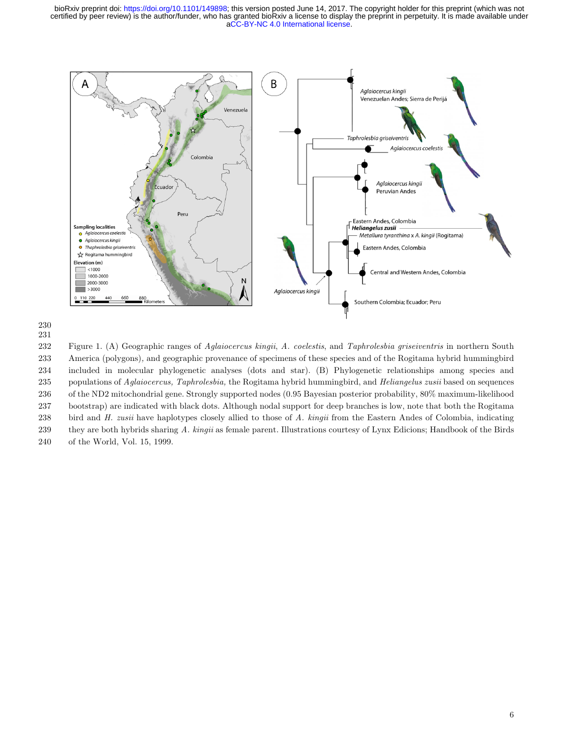

 Figure 1. (A) Geographic ranges of *Aglaiocercus kingii*, *A. coelestis*, and *Taphrolesbia griseiventris* in northern South America (polygons)*,* and geographic provenance of specimens of these species and of the Rogitama hybrid hummingbird included in molecular phylogenetic analyses (dots and star). (B) Phylogenetic relationships among species and populations of *Aglaiocercus, Taphrolesbia,* the Rogitama hybrid hummingbird, and *Heliangelus zusii* based on sequences of the ND2 mitochondrial gene. Strongly supported nodes (0.95 Bayesian posterior probability, 80% maximum-likelihood bootstrap) are indicated with black dots. Although nodal support for deep branches is low, note that both the Rogitama bird and *H. zusii* have haplotypes closely allied to those of *A. kingii* from the Eastern Andes of Colombia, indicating they are both hybrids sharing *A. kingii* as female parent. Illustrations courtesy of Lynx Edicions; Handbook of the Birds of the World, Vol. 15, 1999.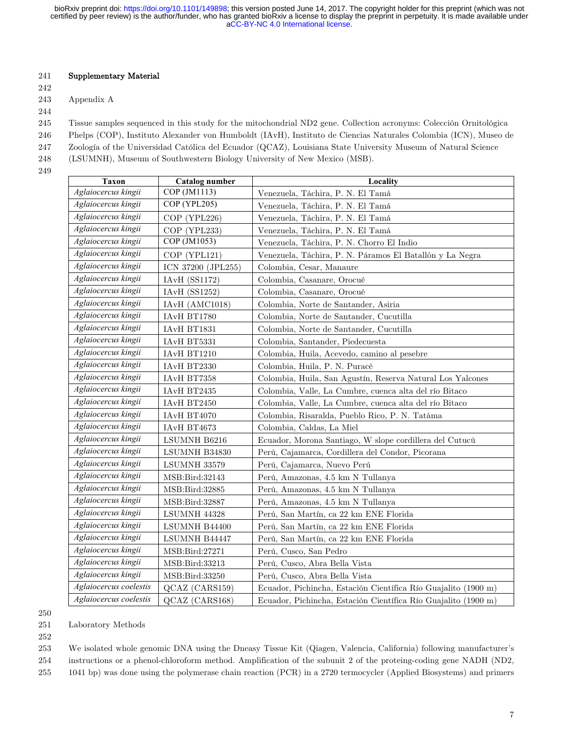[aCC-BY-NC 4.0 International license.](http://creativecommons.org/licenses/by-nc/4.0/) certified by peer review) is the author/funder, who has granted bioRxiv a license to display the preprint in perpetuity. It is made available under bioRxiv preprint doi: [https://doi.org/10.1101/149898;](https://doi.org/10.1101/149898) this version posted June 14, 2017. The copyright holder for this preprint (which was not

## 241 Supplementary Material

242

#### 243 Appendix A

244

245 Tissue samples sequenced in this study for the mitochondrial ND2 gene. Collection acronyms: Colección Ornitológica

- 246 Phelps (COP), Instituto Alexander von Humboldt (IAvH), Instituto de Ciencias Naturales Colombia (ICN), Museo de
- 247 Zoología of the Universidad Católica del Ecuador (QCAZ), Louisiana State University Museum of Natural Science
- 248 (LSUMNH), Museum of Southwestern Biology University of New Mexico (MSB).
- 249

| Taxon                  | <b>Catalog number</b> | Locality                                                       |
|------------------------|-----------------------|----------------------------------------------------------------|
| Aglaiocercus kingii    | COP (JM1113)          | Venezuela, Táchira, P. N. El Tamá                              |
| Aglaiocercus kingii    | COP (YPL205)          | Venezuela, Táchira, P. N. El Tamá                              |
| Aglaiocercus kingii    | COP (YPL226)          | Venezuela, Táchira, P. N. El Tamá                              |
| Aglaiocercus kingii    | COP (YPL233)          | Venezuela, Táchira, P. N. El Tamá                              |
| Aglaiocercus kingii    | COP (JM1053)          | Venezuela, Táchira, P. N. Chorro El Indio                      |
| Aglaiocercus kingii    | $COP$ (YPL121)        | Venezuela, Táchira, P. N. Páramos El Batallón y La Negra       |
| Aglaiocercus kingii    | ICN 37200 (JPL255)    | Colombia, Cesar, Manaure                                       |
| Aglaiocercus kingii    | <b>IAvH</b> (SS1172)  | Colombia, Casanare, Orocué                                     |
| Aglaiocercus kingii    | <b>IAvH</b> (SS1252)  | Colombia, Casanare, Orocué                                     |
| Aglaiocercus kingii    | IAvH (AMC1018)        | Colombia, Norte de Santander, Asiria                           |
| Aglaiocercus kingii    | IAvH BT1780           | Colombia, Norte de Santander, Cucutilla                        |
| Aglaiocercus kingii    | IAvH BT1831           | Colombia, Norte de Santander, Cucutilla                        |
| Aglaiocercus kingii    | IAvH BT5331           | Colombia, Santander, Piedecuesta                               |
| Aglaiocercus kingii    | IAvH BT1210           | Colombia, Huila, Acevedo, camino al pesebre                    |
| Aglaiocercus kingii    | IAvH BT2330           | Colombia, Huila, P. N. Puracé                                  |
| Aglaiocercus kingii    | IAvH BT7358           | Colombia, Huila, San Agustín, Reserva Natural Los Yalcones     |
| Aglaiocercus kingii    | IAvH BT2435           | Colombia, Valle, La Cumbre, cuenca alta del río Bitaco         |
| Aglaiocercus kingii    | IAvH BT2450           | Colombia, Valle, La Cumbre, cuenca alta del río Bitaco         |
| Aglaiocercus kingii    | $\rm IAvH$ BT4070     | Colombia, Risaralda, Pueblo Rico, P. N. Tatáma                 |
| Aglaiocercus kingii    | IAvH BT4673           | Colombia, Caldas, La Miel                                      |
| Aglaiocercus kingii    | LSUMNH B6216          | Ecuador, Morona Santiago, W slope cordillera del Cutucú        |
| Aglaiocercus kingii    | LSUMNH B34830         | Perú, Cajamarca, Cordillera del Condor, Picorana               |
| Aglaiocercus kingii    | LSUMNH 33579          | Perú, Cajamarca, Nuevo Perú                                    |
| Aglaiocercus kingii    | MSB:Bird:32143        | Perú, Amazonas, 4.5 km N Tullanya                              |
| Aglaiocercus kingii    | MSB:Bird:32885        | Perú, Amazonas, 4.5 km N Tullanya                              |
| Aglaiocercus kingii    | MSB:Bird:32887        | Perú, Amazonas, 4.5 km N Tullanya                              |
| Aglaiocercus kingii    | LSUMNH 44328          | Perú, San Martín, ca 22 km ENE Florida                         |
| Aglaiocercus kingii    | LSUMNH B44400         | Perú, San Martín, ca 22 km ENE Florida                         |
| Aglaiocercus kingii    | LSUMNH B44447         | Perú, San Martín, ca 22 km ENE Florida                         |
| Aglaiocercus kingii    | MSB:Bird:27271        | Perú, Cusco, San Pedro                                         |
| Aglaiocercus kingii    | MSB:Bird:33213        | Perú, Cusco, Abra Bella Vista                                  |
| Aglaiocercus kingii    | MSB:Bird:33250        | Perú, Cusco, Abra Bella Vista                                  |
| Aglaiocercus coelestis | QCAZ (CARS159)        | Ecuador, Pichincha, Estación Científica Río Guajalito (1900 m) |
| Aglaiocercus coelestis | QCAZ (CARS168)        | Ecuador, Pichincha, Estación Científica Río Guajalito (1900 m) |

<sup>250</sup>

251 Laboratory Methods

252

253 We isolated whole genomic DNA using the Dneasy Tissue Kit (Qiagen, Valencia, California) following manufacturer's 254 instructions or a phenol-chloroform method. Amplification of the subunit 2 of the proteing-coding gene NADH (ND2,

255 1041 bp) was done using the polymerase chain reaction (PCR) in a 2720 termocycler (Applied Biosystems) and primers